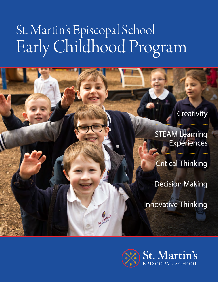# St. Martin's Episcopal School Early Childhood Program

St. Martin's

## **Creativity**

**STEAM Learning Experiences** 

Critical Thinking

Decision Making

Innovative Thinking

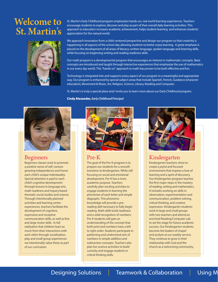# Welcome to St. Martin's



St. Martin's Early Childhood program emphasizes hands-on, real world learning experiences. Teachers encourage students to explore, discover and play as part of their overall daily learning activities. This approach to education increases academic achievement, helps student-learning and enhances students' appreciation for the natural world.

We approach innovation from a child-centered perspective and design our program so that creativity is happening in all aspects of the school day allowing students to better enjoy learning. A great emphasis is placed on the development of all areas of literacy; written language, spoken language and listening skills, while focusing on beginning writing and reading readiness skills.

Our math program is a developmental program that encourages an interest in mathematic concepts. Basic concepts are introduced and taught through interactive experiences that emphasize the use of mathematics in our every day world. This "hands on" approach to math has proven to be both effective and fun.

Technology is integrated into and supports every aspect of our program in a meaningful and appropriate way. Our program is enhanced by special subject areas that include Spanish, French, Guidance (character education), Movement & Music, Art, Religion, Science, Library, Reading and Computer.

St. Martin's is truly a special place and I invite you to learn more about our Early Childhood program.

Cindy Alexander, *Early Childhood Principal* 



### Beginners

Beginners classes work to promote a positive sense of self, nurture growing independence and honor each child's unique individuality. Special attention is paid to each child's cognitive development through lessons in language arts, math readiness and inquiry based thematic social studies and science. Through intentionally planned activities and learning center experiences, teachers facilitate the development of cognitive, expressive and receptive communication skills, as well as fine and large motor skills. In full realization that children learn as much from their interactions with each other through socialization, play and small group experiences we intentionally value these as part of our curriculum.



#### Pre-K

The goal of the Pre-K program is to prepare our students for a smooth transition to kindergarten. While still focusing on social and emotional development, Pre-K has a more academic purpose. Teachers carefully plan exciting activities to engage students in learning the phonemes of each letter and simple diagraphs. This phonemic knowledge will provide a prereading skill necessary to fully begin reading. Math skills build readiness and a solid recognition of numbers. Pre-K students will gain an understanding of the concept that both print and numbers have a left to right order. Students participate in patterning and understand sets of numbers in simple addition and subtraction concepts. Teachers also plan fun science activities to build curiosity and engage students in critical thinking skills.



### Kindergarten

Kindergarten teachers strive to create a joyful and focused environment that inspires a love of learning and a spirit of discovery. Our Kindergarten program teaches the first major steps in the mastery of reading, writing and mathematics. It includes working on skills in observation, experimentation and communication, problem solving, critical thinking, and creative expression. Kindergarten students work in large and small groups with two teachers and attend an enriched Reading/Computer Lab to set the stage for future academic success. Our Kindergarten students become the leaders of chapel and acolyte at our weekly service. They continue to grow in their relationship with God and the church as a welcoming community.

### Designing Solutions | Teamwork & Collaboration | Using M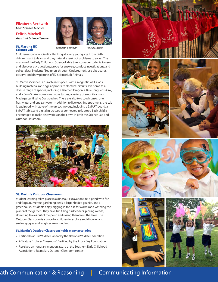#### **Elizabeth Beckwith** *Lead Science Teacher*  **Felicia Mitchell** *Assistant Science Teacher*

#### St. Martin's EC Science Lab

*Elizabeth Beckwith Felicia Mitchell*



Children engage in scientific thinking at a very young age. From birth, children want to learn and they naturally seek out problems to solve. The mission of the Early Childhood Science Lab is to encourage students to seek and discover, ask questions, probe for answers, conduct investigations, and collect data. Students (Beginners through Kindergarten), use clip boards, observe and draw pictures of EC Science Lab Animals.

St. Martin's Science Lab is a 'Maker Space,' with a magnetic wall, iPads, building materials and age appropriate electrical circuits. It is home to a diverse range of species, including a Bearded Dragon, a Blue Tongued-Skink, and a Corn Snake; numerous native turtles, a variety of amphibians and Madagascar Hissing Cockroaches. There are also two touch tanks, one freshwater and one saltwater. In addition to live teaching specimens, the Lab is equipped with state-of-the-art technology, including a SMART board, a SMART table, and digital microscopes connected to laptops. Each child is encouraged to make discoveries on their own in both the Science Lab and Outdoor Classroom.



#### St. Martin's Outdoor Classroom

Student learning takes place in a dinosaur excavation site, a pond with fish and frogs, numerous gardening beds, a large shaded gazebo, and a greenhouse. Students enjoy digging in the dirt for worms and watering the plants of the garden. They have fun filling bird feeders, picking weeds, skimming leaves out of the pond and raking them from the lawn. The Outdoor Classroom is a place for children to explore and discover and smiles, giggles and laughter are abundant!

#### St. Martin's Outdoor Classroom holds many accolades

- Certified Natural Wildlife Habitat by the National Wildlife Federation
- A "Nature Explorer Classroom" Certified by the Arbor Day Foundation
- Received an honorary mention award at the Southern Early Childhood Association's Exemplary Outdoor Classroom contest